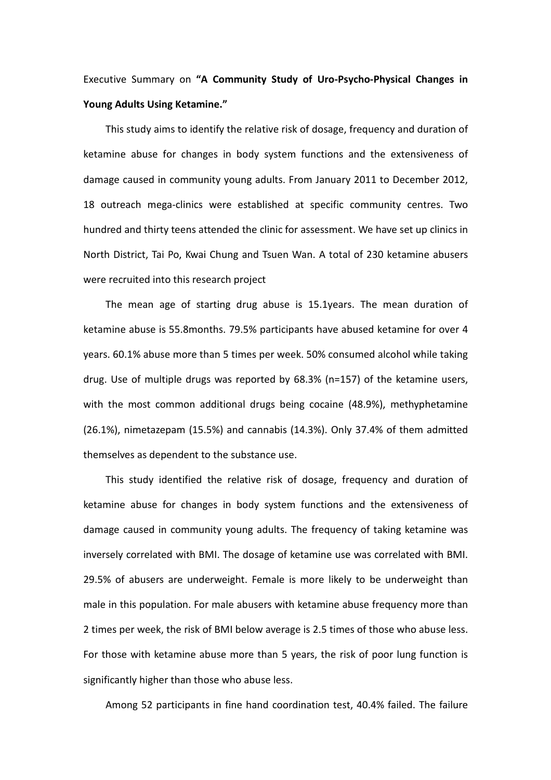## Executive Summary on **"A Community Study of Uro-Psycho-Physical Changes in Young Adults Using Ketamine."**

 This study aims to identify the relative risk of dosage, frequency and duration of ketamine abuse for changes in body system functions and the extensiveness of damage caused in community young adults. From January 2011 to December 2012, 18 outreach mega-clinics were established at specific community centres. Two hundred and thirty teens attended the clinic for assessment. We have set up clinics in North District, Tai Po, Kwai Chung and Tsuen Wan. A total of 230 ketamine abusers were recruited into this research project

 The mean age of starting drug abuse is 15.1years. The mean duration of ketamine abuse is 55.8months. 79.5% participants have abused ketamine for over 4 years. 60.1% abuse more than 5 times per week. 50% consumed alcohol while taking drug. Use of multiple drugs was reported by 68.3% (n=157) of the ketamine users, with the most common additional drugs being cocaine (48.9%), methyphetamine (26.1%), nimetazepam (15.5%) and cannabis (14.3%). Only 37.4% of them admitted themselves as dependent to the substance use.

 This study identified the relative risk of dosage, frequency and duration of ketamine abuse for changes in body system functions and the extensiveness of damage caused in community young adults. The frequency of taking ketamine was inversely correlated with BMI. The dosage of ketamine use was correlated with BMI. 29.5% of abusers are underweight. Female is more likely to be underweight than male in this population. For male abusers with ketamine abuse frequency more than 2 times per week, the risk of BMI below average is 2.5 times of those who abuse less. For those with ketamine abuse more than 5 years, the risk of poor lung function is significantly higher than those who abuse less.

Among 52 participants in fine hand coordination test, 40.4% failed. The failure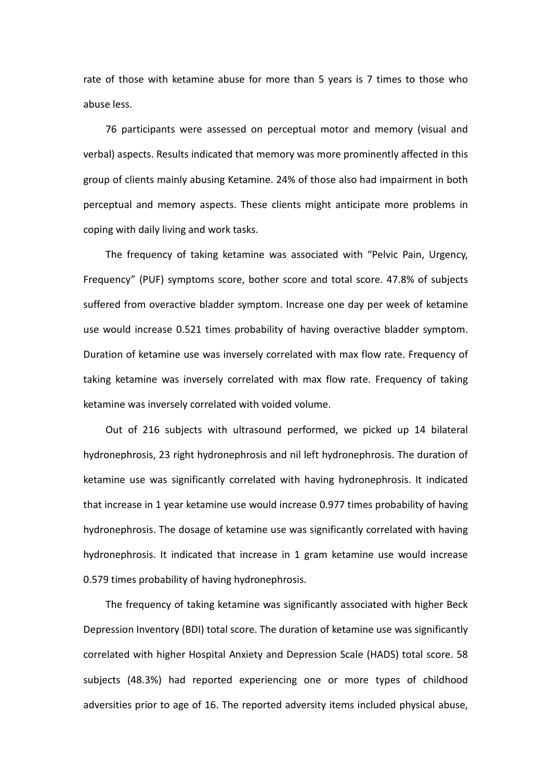rate of those with ketamine abuse for more than 5 years is 7 times to those who abuse less.

 76 participants were assessed on perceptual motor and memory (visual and verbal) aspects. Results indicated that memory was more prominently affected in this group of clients mainly abusing Ketamine. 24% of those also had impairment in both perceptual and memory aspects. These clients might anticipate more problems in coping with daily living and work tasks.

 The frequency of taking ketamine was associated with "Pelvic Pain, Urgency, Frequency" (PUF) symptoms score, bother score and total score. 47.8% of subjects suffered from overactive bladder symptom. Increase one day per week of ketamine use would increase 0.521 times probability of having overactive bladder symptom. Duration of ketamine use was inversely correlated with max flow rate. Frequency of taking ketamine was inversely correlated with max flow rate. Frequency of taking ketamine was inversely correlated with voided volume.

 Out of 216 subjects with ultrasound performed, we picked up 14 bilateral hydronephrosis, 23 right hydronephrosis and nil left hydronephrosis. The duration of ketamine use was significantly correlated with having hydronephrosis. It indicated that increase in 1 year ketamine use would increase 0.977 times probability of having hydronephrosis. The dosage of ketamine use was significantly correlated with having hydronephrosis. It indicated that increase in 1 gram ketamine use would increase 0.579 times probability of having hydronephrosis.

 The frequency of taking ketamine was significantly associated with higher Beck Depression Inventory (BDI) total score. The duration of ketamine use was significantly correlated with higher Hospital Anxiety and Depression Scale (HADS) total score. 58 subjects (48.3%) had reported experiencing one or more types of childhood adversities prior to age of 16. The reported adversity items included physical abuse,